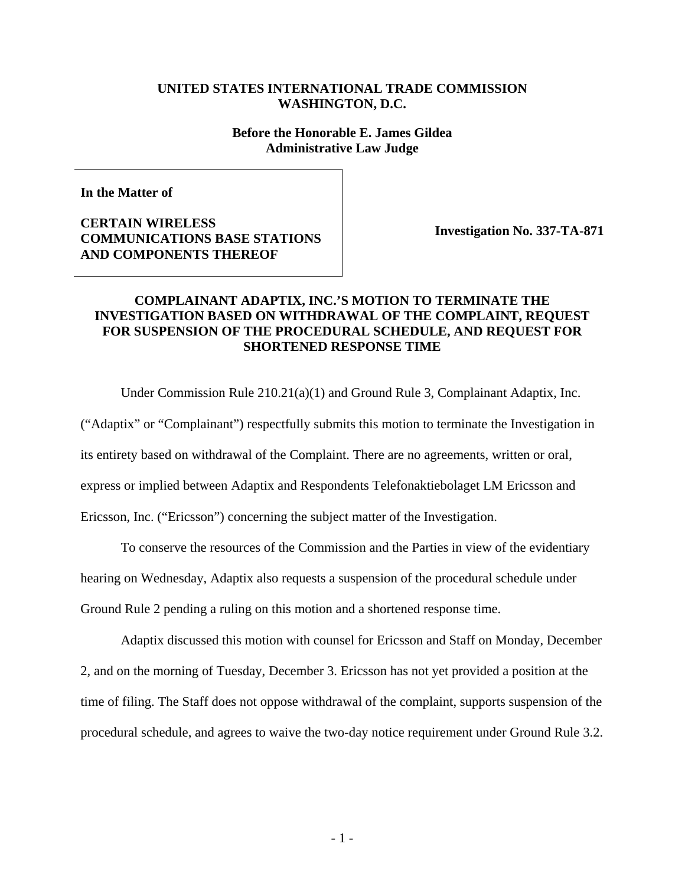## **UNITED STATES INTERNATIONAL TRADE COMMISSION WASHINGTON, D.C.**

#### **Before the Honorable E. James Gildea Administrative Law Judge**

**In the Matter of** 

**CERTAIN WIRELESS COMMUNICATIONS BASE STATIONS AND COMPONENTS THEREOF** 

**Investigation No. 337-TA-871**

# **COMPLAINANT ADAPTIX, INC.'S MOTION TO TERMINATE THE INVESTIGATION BASED ON WITHDRAWAL OF THE COMPLAINT, REQUEST FOR SUSPENSION OF THE PROCEDURAL SCHEDULE, AND REQUEST FOR SHORTENED RESPONSE TIME**

Under Commission Rule 210.21(a)(1) and Ground Rule 3, Complainant Adaptix, Inc.

("Adaptix" or "Complainant") respectfully submits this motion to terminate the Investigation in its entirety based on withdrawal of the Complaint. There are no agreements, written or oral, express or implied between Adaptix and Respondents Telefonaktiebolaget LM Ericsson and Ericsson, Inc. ("Ericsson") concerning the subject matter of the Investigation.

To conserve the resources of the Commission and the Parties in view of the evidentiary hearing on Wednesday, Adaptix also requests a suspension of the procedural schedule under Ground Rule 2 pending a ruling on this motion and a shortened response time.

Adaptix discussed this motion with counsel for Ericsson and Staff on Monday, December 2, and on the morning of Tuesday, December 3. Ericsson has not yet provided a position at the time of filing. The Staff does not oppose withdrawal of the complaint, supports suspension of the procedural schedule, and agrees to waive the two-day notice requirement under Ground Rule 3.2.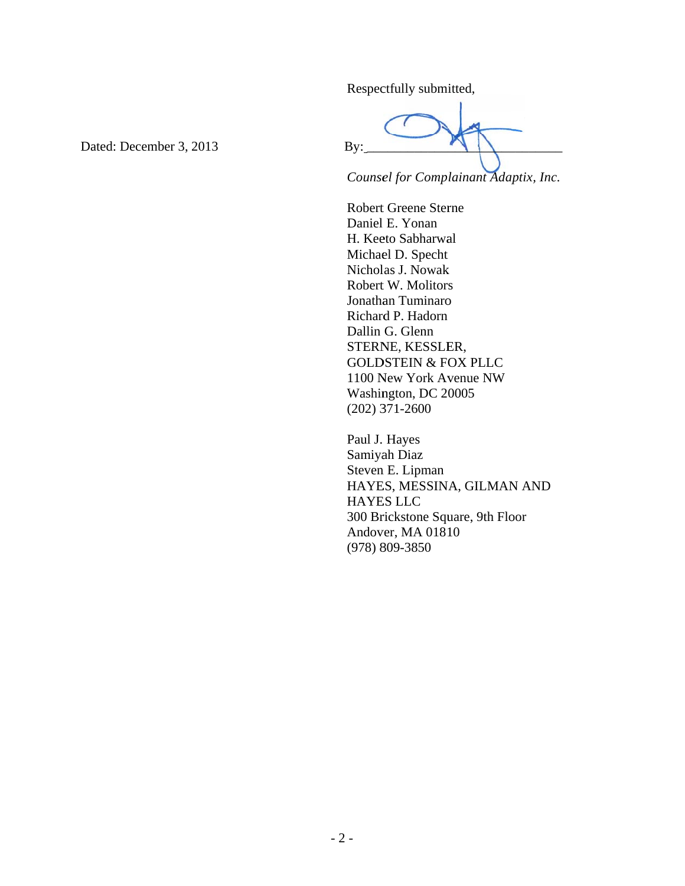Respectfully submitted,

Dated: December 3, 2013

By:

Counsel for Complainant Adaptix, Inc.

**Robert Greene Sterne** Daniel E. Yonan H. Keeto Sabharwal Michael D. Specht Nicholas J. Nowak Robert W. Molitors Jonathan Tuminaro Richard P. Hadorn Dallin G. Glenn STERNE, KESSLER, **GOLDSTEIN & FOX PLLC** 1100 New York Avenue NW Washington, DC 20005  $(202)$  371-2600

Paul J. Hayes Samiyah Diaz Steven E. Lipman HAYES, MESSINA, GILMAN AND **HAYES LLC** 300 Brickstone Square, 9th Floor Andover, MA 01810  $(978) 809 - 3850$ 

 $-2-$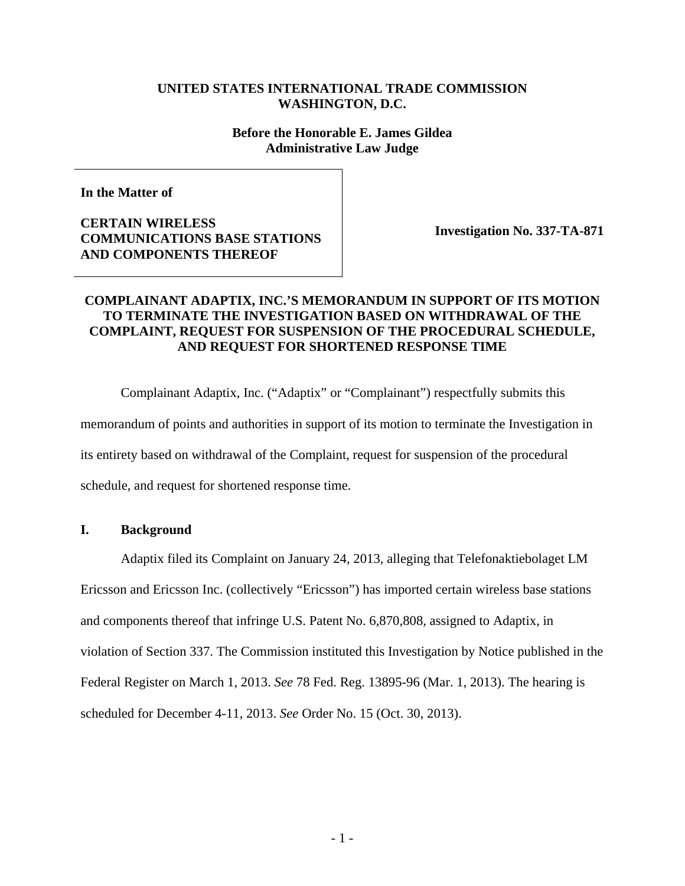# **UNITED STATES INTERNATIONAL TRADE COMMISSION WASHINGTON, D.C.**

#### **Before the Honorable E. James Gildea Administrative Law Judge**

**In the Matter of** 

**CERTAIN WIRELESS COMMUNICATIONS BASE STATIONS AND COMPONENTS THEREOF** 

**Investigation No. 337-TA-871**

# **COMPLAINANT ADAPTIX, INC.'S MEMORANDUM IN SUPPORT OF ITS MOTION TO TERMINATE THE INVESTIGATION BASED ON WITHDRAWAL OF THE COMPLAINT, REQUEST FOR SUSPENSION OF THE PROCEDURAL SCHEDULE, AND REQUEST FOR SHORTENED RESPONSE TIME**

Complainant Adaptix, Inc. ("Adaptix" or "Complainant") respectfully submits this memorandum of points and authorities in support of its motion to terminate the Investigation in its entirety based on withdrawal of the Complaint, request for suspension of the procedural schedule, and request for shortened response time.

### **I. Background**

Adaptix filed its Complaint on January 24, 2013, alleging that Telefonaktiebolaget LM Ericsson and Ericsson Inc. (collectively "Ericsson") has imported certain wireless base stations and components thereof that infringe U.S. Patent No. 6,870,808, assigned to Adaptix, in violation of Section 337. The Commission instituted this Investigation by Notice published in the Federal Register on March 1, 2013. *See* 78 Fed. Reg. 13895-96 (Mar. 1, 2013). The hearing is scheduled for December 4-11, 2013. *See* Order No. 15 (Oct. 30, 2013).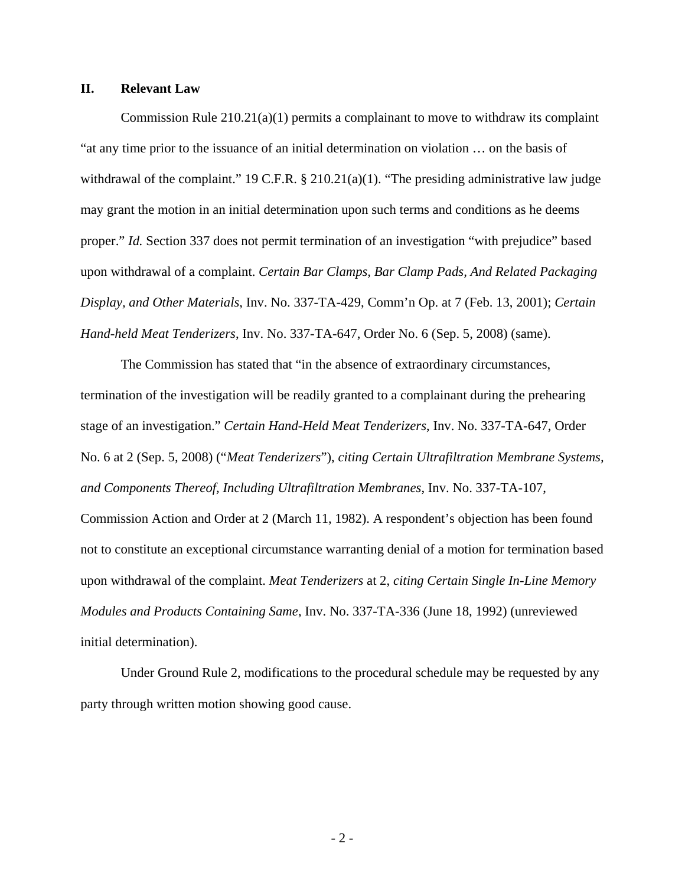### **II. Relevant Law**

Commission Rule  $210.21(a)(1)$  permits a complainant to move to withdraw its complaint "at any time prior to the issuance of an initial determination on violation … on the basis of withdrawal of the complaint." 19 C.F.R. § 210.21(a)(1). "The presiding administrative law judge may grant the motion in an initial determination upon such terms and conditions as he deems proper." *Id.* Section 337 does not permit termination of an investigation "with prejudice" based upon withdrawal of a complaint. *Certain Bar Clamps, Bar Clamp Pads, And Related Packaging Display, and Other Materials*, Inv. No. 337-TA-429, Comm'n Op. at 7 (Feb. 13, 2001); *Certain Hand-held Meat Tenderizers*, Inv. No. 337-TA-647, Order No. 6 (Sep. 5, 2008) (same).

The Commission has stated that "in the absence of extraordinary circumstances, termination of the investigation will be readily granted to a complainant during the prehearing stage of an investigation." *Certain Hand-Held Meat Tenderizers*, Inv. No. 337-TA-647, Order No. 6 at 2 (Sep. 5, 2008) ("*Meat Tenderizers*"), *citing Certain Ultrafiltration Membrane Systems, and Components Thereof, Including Ultrafiltration Membranes*, Inv. No. 337-TA-107, Commission Action and Order at 2 (March 11, 1982). A respondent's objection has been found not to constitute an exceptional circumstance warranting denial of a motion for termination based upon withdrawal of the complaint. *Meat Tenderizers* at 2, *citing Certain Single In-Line Memory Modules and Products Containing Same*, Inv. No. 337-TA-336 (June 18, 1992) (unreviewed initial determination).

Under Ground Rule 2, modifications to the procedural schedule may be requested by any party through written motion showing good cause.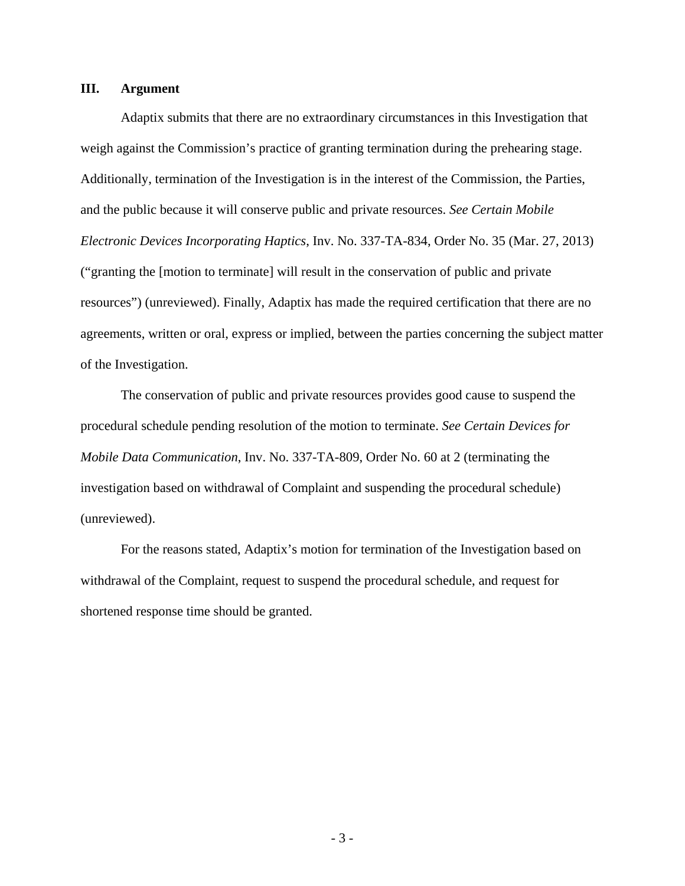# **III. Argument**

Adaptix submits that there are no extraordinary circumstances in this Investigation that weigh against the Commission's practice of granting termination during the prehearing stage. Additionally, termination of the Investigation is in the interest of the Commission, the Parties, and the public because it will conserve public and private resources. *See Certain Mobile Electronic Devices Incorporating Haptics*, Inv. No. 337-TA-834, Order No. 35 (Mar. 27, 2013) ("granting the [motion to terminate] will result in the conservation of public and private resources") (unreviewed). Finally, Adaptix has made the required certification that there are no agreements, written or oral, express or implied, between the parties concerning the subject matter of the Investigation.

The conservation of public and private resources provides good cause to suspend the procedural schedule pending resolution of the motion to terminate. *See Certain Devices for Mobile Data Communication*, Inv. No. 337-TA-809, Order No. 60 at 2 (terminating the investigation based on withdrawal of Complaint and suspending the procedural schedule) (unreviewed).

For the reasons stated, Adaptix's motion for termination of the Investigation based on withdrawal of the Complaint, request to suspend the procedural schedule, and request for shortened response time should be granted.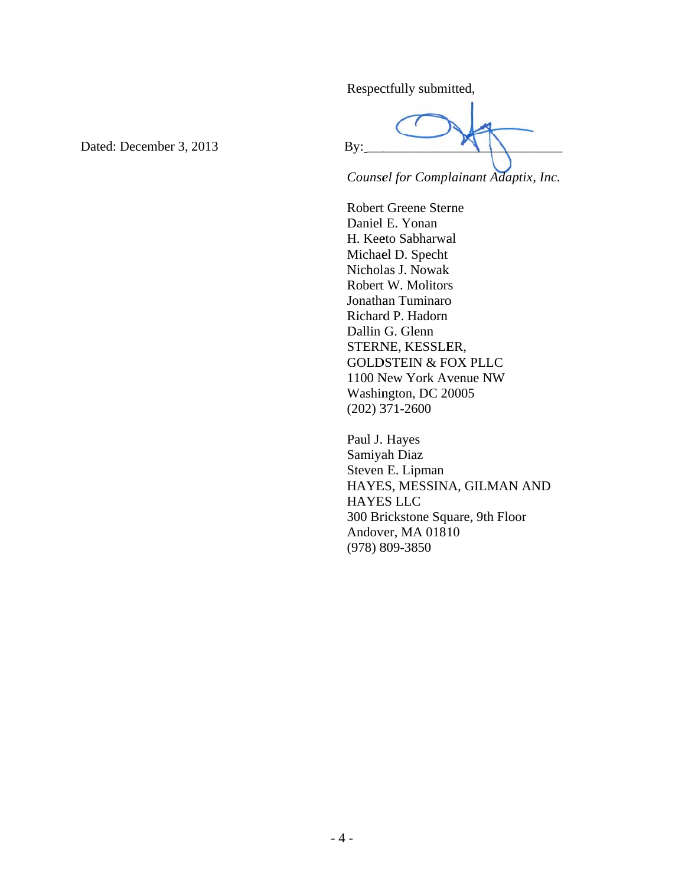Respectfully submitted,

Dated: December 3, 2013

By:

Counsel for Complainant Adaptix, Inc.

**Robert Greene Sterne** Daniel E. Yonan H. Keeto Sabharwal Michael D. Specht Nicholas J. Nowak Robert W. Molitors Jonathan Tuminaro Richard P. Hadorn Dallin G. Glenn STERNE, KESSLER, **GOLDSTEIN & FOX PLLC** 1100 New York Avenue NW Washington, DC 20005  $(202)$  371-2600

Paul J. Hayes Samiyah Diaz Steven E. Lipman HAYES, MESSINA, GILMAN AND **HAYES LLC** 300 Brickstone Square, 9th Floor Andover, MA 01810  $(978) 809 - 3850$ 

 $-4-$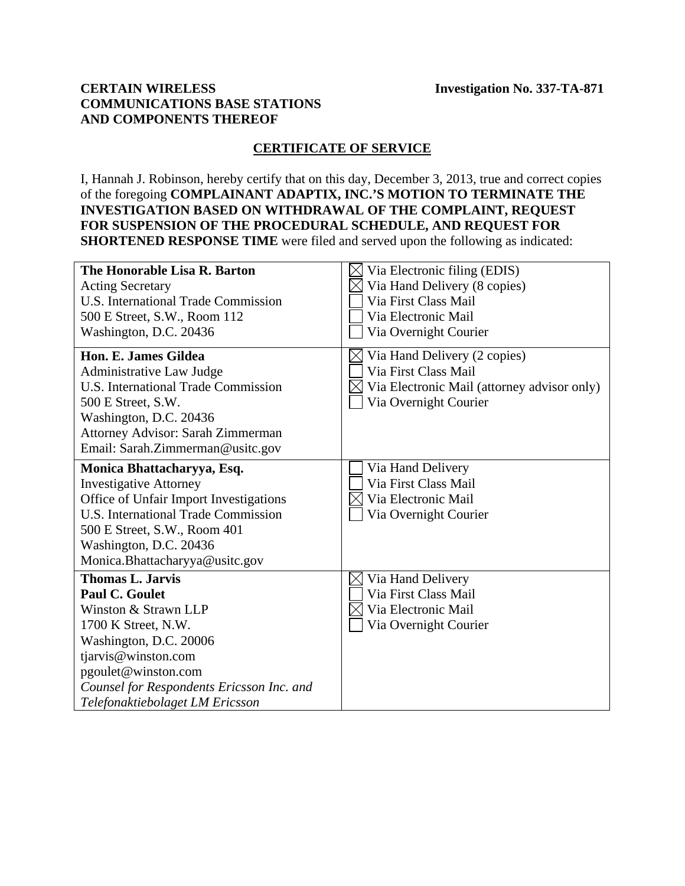# **CERTAIN WIRELESS COMMUNICATIONS BASE STATIONS AND COMPONENTS THEREOF**

# **CERTIFICATE OF SERVICE**

I, Hannah J. Robinson, hereby certify that on this day, December 3, 2013, true and correct copies of the foregoing **COMPLAINANT ADAPTIX, INC.'S MOTION TO TERMINATE THE INVESTIGATION BASED ON WITHDRAWAL OF THE COMPLAINT, REQUEST FOR SUSPENSION OF THE PROCEDURAL SCHEDULE, AND REQUEST FOR SHORTENED RESPONSE TIME** were filed and served upon the following as indicated:

| The Honorable Lisa R. Barton               | Via Electronic filing (EDIS)                |
|--------------------------------------------|---------------------------------------------|
| <b>Acting Secretary</b>                    | Via Hand Delivery (8 copies)                |
| <b>U.S. International Trade Commission</b> | Via First Class Mail                        |
| 500 E Street, S.W., Room 112               | Via Electronic Mail                         |
| Washington, D.C. 20436                     | Via Overnight Courier                       |
| Hon. E. James Gildea                       | Via Hand Delivery (2 copies)                |
| Administrative Law Judge                   | Via First Class Mail                        |
| <b>U.S. International Trade Commission</b> | Via Electronic Mail (attorney advisor only) |
| 500 E Street, S.W.                         | Via Overnight Courier                       |
| Washington, D.C. 20436                     |                                             |
| Attorney Advisor: Sarah Zimmerman          |                                             |
| Email: Sarah.Zimmerman@usitc.gov           |                                             |
| Monica Bhattacharyya, Esq.                 | Via Hand Delivery                           |
| <b>Investigative Attorney</b>              | Via First Class Mail                        |
| Office of Unfair Import Investigations     | Via Electronic Mail                         |
| U.S. International Trade Commission        | Via Overnight Courier                       |
| 500 E Street, S.W., Room 401               |                                             |
| Washington, D.C. 20436                     |                                             |
| Monica.Bhattacharyya@usitc.gov             |                                             |
| <b>Thomas L. Jarvis</b>                    | Via Hand Delivery                           |
| <b>Paul C. Goulet</b>                      | Via First Class Mail                        |
| Winston & Strawn LLP                       | Via Electronic Mail                         |
| 1700 K Street, N.W.                        | Via Overnight Courier                       |
| Washington, D.C. 20006                     |                                             |
| tjarvis@winston.com                        |                                             |
| pgoulet@winston.com                        |                                             |
| Counsel for Respondents Ericsson Inc. and  |                                             |
| Telefonaktiebolaget LM Ericsson            |                                             |